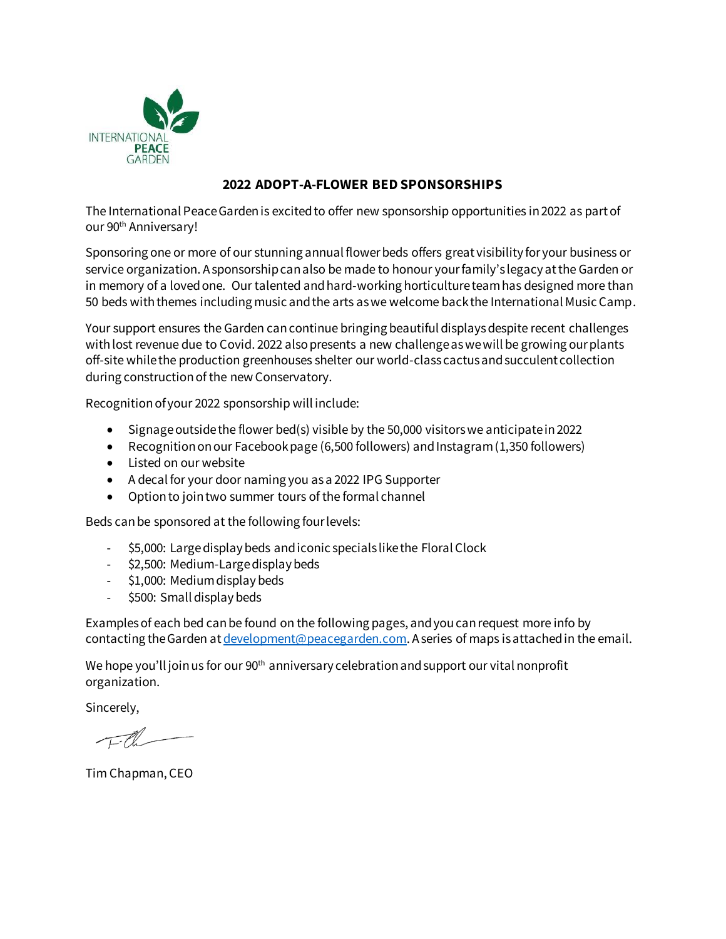

## **2022 ADOPT-A-FLOWER BED SPONSORSHIPS**

The International Peace Garden is excited to offer new sponsorship opportunities in 2022 as part of our 90<sup>th</sup> Anniversary!

Sponsoring one or more of our stunning annual flower beds offers great visibility for your business or service organization. A sponsorship can also be made to honour your family's legacy at the Garden or in memory of a loved one. Our talented and hard-working horticulture team has designed more than 50 beds with themes including music and the arts as we welcome back the International Music Camp.

Your support ensures the Garden can continue bringing beautiful displays despite recent challenges with lost revenue due to Covid. 2022 also presents a new challenge as we will be growing our plants off-site while the production greenhouses shelter our world-class cactus and succulent collection during construction of the new Conservatory.

Recognition ofyour 2022 sponsorship will include:

- Signage outside the flower bed(s) visible by the 50,000 visitors we anticipate in 2022
- Recognition on our Facebook page (6,500 followers) and Instagram(1,350 followers)
- Listed on our website
- A decal for your door naming you as a 2022 IPG Supporter
- Option to join two summer tours of the formal channel

Beds can be sponsored at the following four levels:

- \$5,000: Large display beds and iconic specials like the Floral Clock
- \$2,500: Medium-Large display beds
- \$1,000: Medium display beds
- \$500: Small display beds

Examples of each bed can be found on the following pages, and you can request more info by contacting the Garden at development@peacegarden.com. A series of maps is attached in the email.

We hope you'll join us for our  $90<sup>th</sup>$  anniversary celebration and support our vital nonprofit organization.

Sincerely,

 $Fd$ 

Tim Chapman, CEO